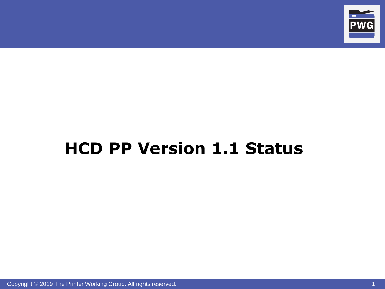

# **HCD PP Version 1.1 Status**

Copyright © 2019 The Printer Working Group. All rights reserved. 1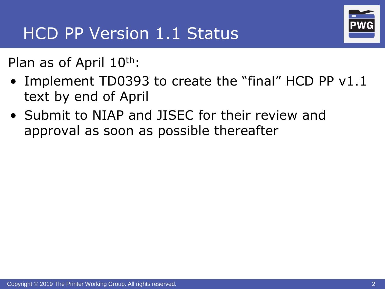# HCD PP Version 1.1 Status

Plan as of April 10<sup>th</sup>:

- Implement TD0393 to create the "final" HCD PP v1.1 text by end of April
- Submit to NIAP and JISEC for their review and approval as soon as possible thereafter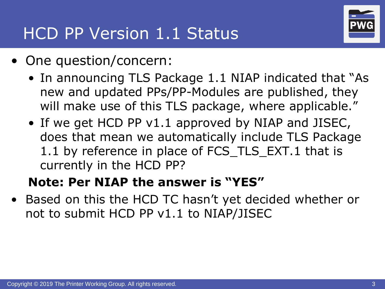#### HCD PP Version 1.1 Status



- One question/concern:
	- In announcing TLS Package 1.1 NIAP indicated that "As new and updated PPs/PP-Modules are published, they will make use of this TLS package, where applicable."
	- If we get HCD PP v1.1 approved by NIAP and JISEC, does that mean we automatically include TLS Package 1.1 by reference in place of FCS\_TLS\_EXT.1 that is currently in the HCD PP?

#### **Note: Per NIAP the answer is "YES"**

• Based on this the HCD TC hasn't yet decided whether or not to submit HCD PP v1.1 to NIAP/JISEC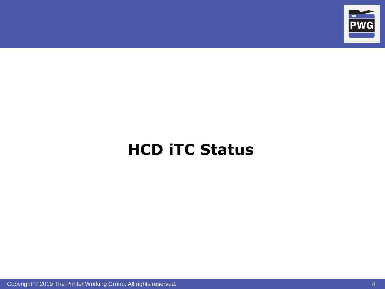

## **HCD iTC Status**

Copyright © 2019 The Printer Working Group. All rights reserved. 4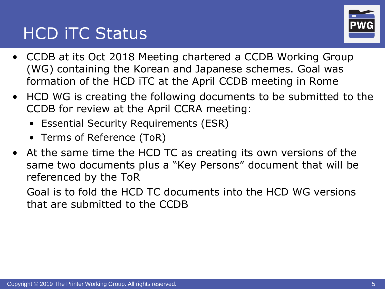# HCD iTC Status



- CCDB at its Oct 2018 Meeting chartered a CCDB Working Group (WG) containing the Korean and Japanese schemes. Goal was formation of the HCD iTC at the April CCDB meeting in Rome
- HCD WG is creating the following documents to be submitted to the CCDB for review at the April CCRA meeting:
	- Essential Security Requirements (ESR)
	- Terms of Reference (ToR)
- At the same time the HCD TC as creating its own versions of the same two documents plus a "Key Persons" document that will be referenced by the ToR

Goal is to fold the HCD TC documents into the HCD WG versions that are submitted to the CCDB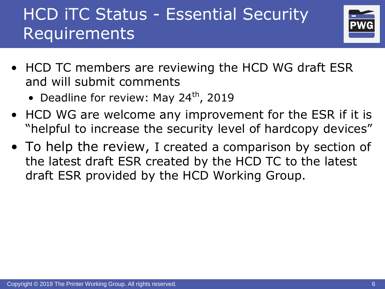# HCD iTC Status - Essential Security Requirements



- HCD TC members are reviewing the HCD WG draft ESR and will submit comments
	- Deadline for review: May  $24<sup>th</sup>$ , 2019
- HCD WG are welcome any improvement for the ESR if it is "helpful to increase the security level of hardcopy devices"
- To help the review, I created a comparison by section of the latest draft ESR created by the HCD TC to the latest draft ESR provided by the HCD Working Group.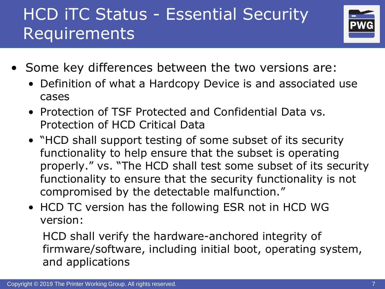# HCD iTC Status - Essential Security Requirements



- Some key differences between the two versions are:
	- Definition of what a Hardcopy Device is and associated use cases
	- Protection of TSF Protected and Confidential Data vs. Protection of HCD Critical Data
	- "HCD shall support testing of some subset of its security functionality to help ensure that the subset is operating properly." vs. "The HCD shall test some subset of its security functionality to ensure that the security functionality is not compromised by the detectable malfunction."
	- HCD TC version has the following ESR not in HCD WG version:

HCD shall verify the hardware-anchored integrity of firmware/software, including initial boot, operating system, and applications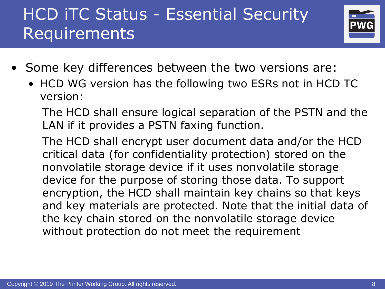# HCD iTC Status - Essential Security Requirements



- Some key differences between the two versions are:
	- HCD WG version has the following two ESRs not in HCD TC version:
		- The HCD shall ensure logical separation of the PSTN and the LAN if it provides a PSTN faxing function.

The HCD shall encrypt user document data and/or the HCD critical data (for confidentiality protection) stored on the nonvolatile storage device if it uses nonvolatile storage device for the purpose of storing those data. To support encryption, the HCD shall maintain key chains so that keys and key materials are protected. Note that the initial data of the key chain stored on the nonvolatile storage device without protection do not meet the requirement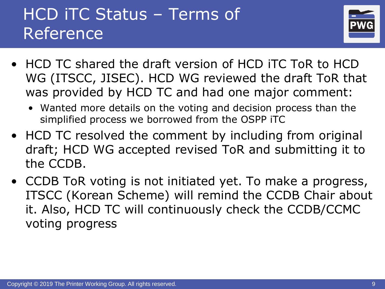# HCD iTC Status – Terms of Reference



- HCD TC shared the draft version of HCD iTC ToR to HCD WG (ITSCC, JISEC). HCD WG reviewed the draft ToR that was provided by HCD TC and had one major comment:
	- Wanted more details on the voting and decision process than the simplified process we borrowed from the OSPP iTC
- HCD TC resolved the comment by including from original draft; HCD WG accepted revised ToR and submitting it to the CCDB.
- CCDB ToR voting is not initiated yet. To make a progress, ITSCC (Korean Scheme) will remind the CCDB Chair about it. Also, HCD TC will continuously check the CCDB/CCMC voting progress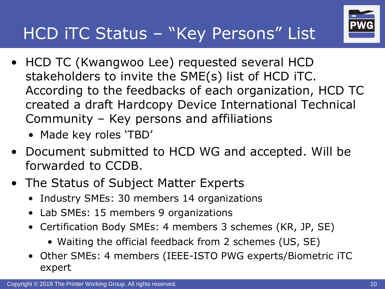# HCD iTC Status – "Key Persons" List

- HCD TC (Kwangwoo Lee) requested several HCD stakeholders to invite the SME(s) list of HCD iTC. According to the feedbacks of each organization, HCD TC created a draft Hardcopy Device International Technical Community – Key persons and affiliations
	- Made key roles 'TBD'
- Document submitted to HCD WG and accepted. Will be forwarded to CCDB.
- The Status of Subject Matter Experts
	- Industry SMEs: 30 members 14 organizations
	- Lab SMEs: 15 members 9 organizations
	- Certification Body SMEs: 4 members 3 schemes (KR, JP, SE)
		- Waiting the official feedback from 2 schemes (US, SE)
	- Other SMEs: 4 members (IEEE-ISTO PWG experts/Biometric iTC expert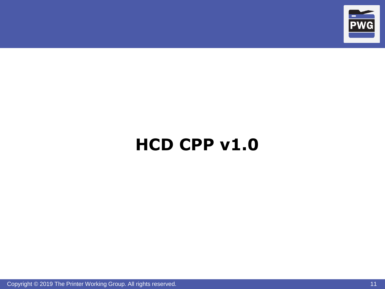

Copyright © 2019 The Printer Working Group. All rights reserved. 11 All 11 All 11 All 11 All 11 All 11 All 11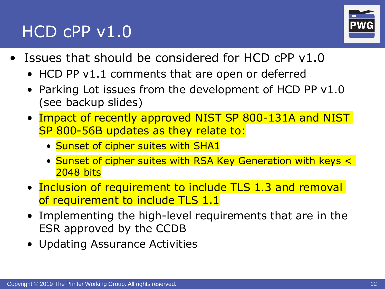

- Issues that should be considered for HCD cPP v1.0
	- HCD PP v1.1 comments that are open or deferred
	- Parking Lot issues from the development of HCD PP v1.0 (see backup slides)
	- Impact of recently approved NIST SP 800-131A and NIST SP 800-56B updates as they relate to:
		- Sunset of cipher suites with SHA1
		- Sunset of cipher suites with RSA Key Generation with keys < 2048 bits
	- Inclusion of requirement to include TLS 1.3 and removal of requirement to include TLS 1.1
	- Implementing the high-level requirements that are in the ESR approved by the CCDB
	- Updating Assurance Activities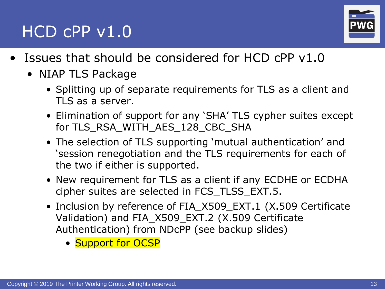

- Issues that should be considered for HCD cPP v1.0
	- NIAP TLS Package
		- Splitting up of separate requirements for TLS as a client and TLS as a server.
		- Elimination of support for any 'SHA' TLS cypher suites except for TLS\_RSA\_WITH\_AES\_128\_CBC\_SHA
		- The selection of TLS supporting 'mutual authentication' and 'session renegotiation and the TLS requirements for each of the two if either is supported.
		- New requirement for TLS as a client if any ECDHE or ECDHA cipher suites are selected in FCS\_TLSS\_EXT.5.
		- Inclusion by reference of FIA X509 EXT.1 (X.509 Certificate Validation) and FIA\_X509\_EXT.2 (X.509 Certificate Authentication) from NDcPP (see backup slides)
			- Support for OCSP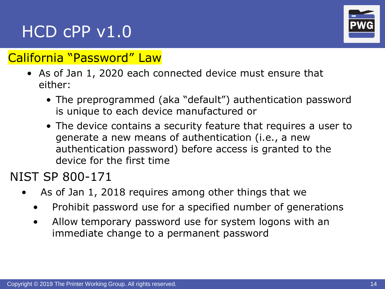

#### California "Password" Law

- As of Jan 1, 2020 each connected device must ensure that either:
	- The preprogrammed (aka "default") authentication password is unique to each device manufactured or
	- The device contains a security feature that requires a user to generate a new means of authentication (i.e., a new authentication password) before access is granted to the device for the first time

#### NIST SP 800-171

- As of Jan 1, 2018 requires among other things that we
	- Prohibit password use for a specified number of generations
	- Allow temporary password use for system logons with an immediate change to a permanent password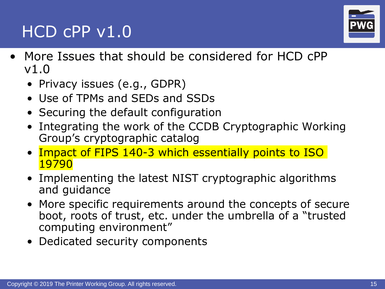

- More Issues that should be considered for HCD cPP v1.0
	- Privacy issues (e.g., GDPR)
	- Use of TPMs and SEDs and SSDs
	- Securing the default configuration
	- Integrating the work of the CCDB Cryptographic Working Group's cryptographic catalog
	- Impact of FIPS 140-3 which essentially points to ISO 19790
	- Implementing the latest NIST cryptographic algorithms and guidance
	- More specific requirements around the concepts of secure boot, roots of trust, etc. under the umbrella of a "trusted computing environment"
	- Dedicated security components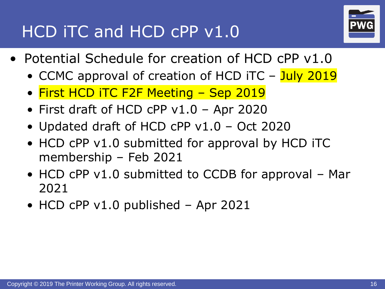## HCD iTC and HCD cPP v1.0



- Potential Schedule for creation of HCD cPP v1.0
	- CCMC approval of creation of HCD iTC July 2019
	- First HCD iTC F2F Meeting Sep 2019
	- First draft of HCD cPP v1.0 Apr 2020
	- Updated draft of HCD cPP v1.0 Oct 2020
	- HCD cPP  $v1.0$  submitted for approval by HCD iTC membership – Feb 2021
	- HCD cPP v1.0 submitted to CCDB for approval Mar 2021
	- HCD cPP v1.0 published Apr 2021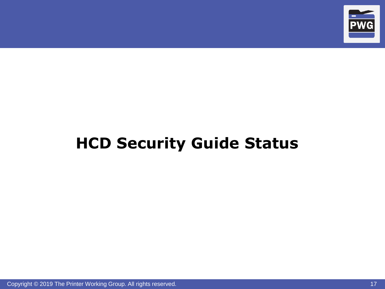

## **HCD Security Guide Status**

Copyright © 2019 The Printer Working Group. All rights reserved. 17 All 17 All 17 All 17 All 17 All 17 All 17 All 17 All 17 All 17 All 17 All 17 All 17 All 17 All 17 All 17 All 17 All 17 All 17 All 17 All 17 All 17 All 17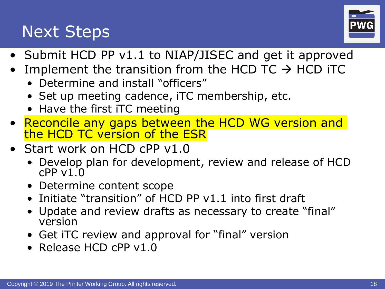#### Next Steps



- Submit HCD PP v1.1 to NIAP/JISEC and get it approved
- Implement the transition from the HCD TC  $\rightarrow$  HCD iTC
	- Determine and install "officers"
	- Set up meeting cadence, iTC membership, etc.
	- Have the first iTC meeting
- Reconcile any gaps between the HCD WG version and the HCD TC version of the ESR
- Start work on HCD cPP v1.0
	- Develop plan for development, review and release of HCD  $CPP V1.0$
	- Determine content scope
	- Initiate "transition" of HCD PP v1.1 into first draft
	- Update and review drafts as necessary to create "final" version
	- Get iTC review and approval for "final" version
	- Release HCD cPP v1.0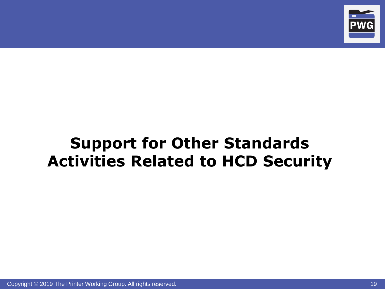

#### **Support for Other Standards Activities Related to HCD Security**

Copyright © 2019 The Printer Working Group. All rights reserved. 19 All 19 All 19 All 19 All 19 All 19 All 19 A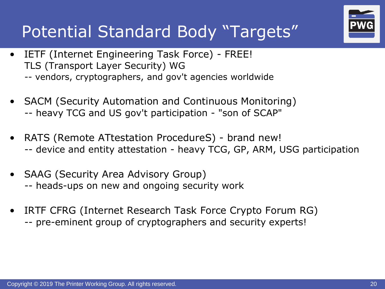

# Potential Standard Body "Targets"

- IETF (Internet Engineering Task Force) FREE! TLS (Transport Layer Security) WG -- vendors, cryptographers, and gov't agencies worldwide
- SACM (Security Automation and Continuous Monitoring) -- heavy TCG and US gov't participation - "son of SCAP"
- RATS (Remote ATtestation ProcedureS) brand new! -- device and entity attestation - heavy TCG, GP, ARM, USG participation
- SAAG (Security Area Advisory Group) -- heads-ups on new and ongoing security work
- IRTF CFRG (Internet Research Task Force Crypto Forum RG) -- pre-eminent group of cryptographers and security experts!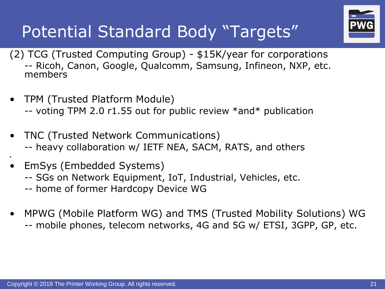

# Potential Standard Body "Targets"

- (2) TCG (Trusted Computing Group) \$15K/year for corporations -- Ricoh, Canon, Google, Qualcomm, Samsung, Infineon, NXP, etc. members
- TPM (Trusted Platform Module)
	- -- voting TPM 2.0 r1.55 out for public review \*and\* publication
- TNC (Trusted Network Communications) -- heavy collaboration w/ IETF NEA, SACM, RATS, and others
- EmSys (Embedded Systems)

•

- -- SGs on Network Equipment, IoT, Industrial, Vehicles, etc.
- -- home of former Hardcopy Device WG
- MPWG (Mobile Platform WG) and TMS (Trusted Mobility Solutions) WG -- mobile phones, telecom networks, 4G and 5G w/ ETSI, 3GPP, GP, etc.